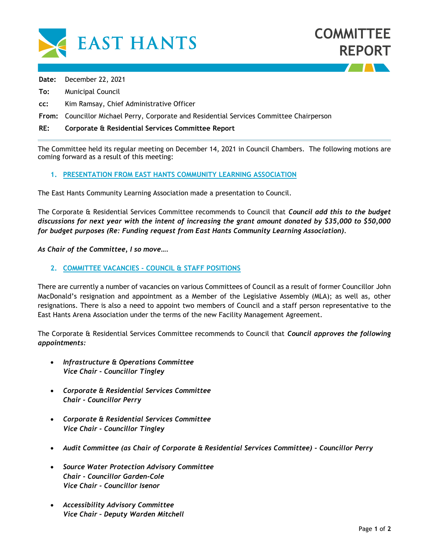

**Date:** December 22, 2021

- **To:** Municipal Council
- **cc:** Kim Ramsay, Chief Administrative Officer

**From:** Councillor Michael Perry, Corporate and Residential Services Committee Chairperson

## **RE: Corporate & Residential Services Committee Report**

The Committee held its regular meeting on December 14, 2021 in Council Chambers. The following motions are coming forward as a result of this meeting:

## **1. PRESENTATION FROM EAST HANTS COMMUNITY LEARNING ASSOCIATION**

The East Hants Community Learning Association made a presentation to Council.

The Corporate & Residential Services Committee recommends to Council that *Council add this to the budget discussions for next year with the intent of increasing the grant amount donated by \$35,000 to \$50,000 for budget purposes (Re: Funding request from East Hants Community Learning Association).*

*As Chair of the Committee, I so move….* 

## **2. COMMITTEE VACANCIES - COUNCIL & STAFF POSITIONS**

There are currently a number of vacancies on various Committees of Council as a result of former Councillor John MacDonald's resignation and appointment as a Member of the Legislative Assembly (MLA); as well as, other resignations. There is also a need to appoint two members of Council and a staff person representative to the East Hants Arena Association under the terms of the new Facility Management Agreement.

The Corporate & Residential Services Committee recommends to Council that *Council approves the following appointments:*

- *Infrastructure & Operations Committee Vice Chair - Councillor Tingley*
- *Corporate & Residential Services Committee Chair - Councillor Perry*
- *Corporate & Residential Services Committee Vice Chair - Councillor Tingley*
- *Audit Committee (as Chair of Corporate & Residential Services Committee) - Councillor Perry*
- *Source Water Protection Advisory Committee Chair - Councillor Garden-Cole Vice Chair - Councillor Isenor*
- *Accessibility Advisory Committee Vice Chair – Deputy Warden Mitchell*